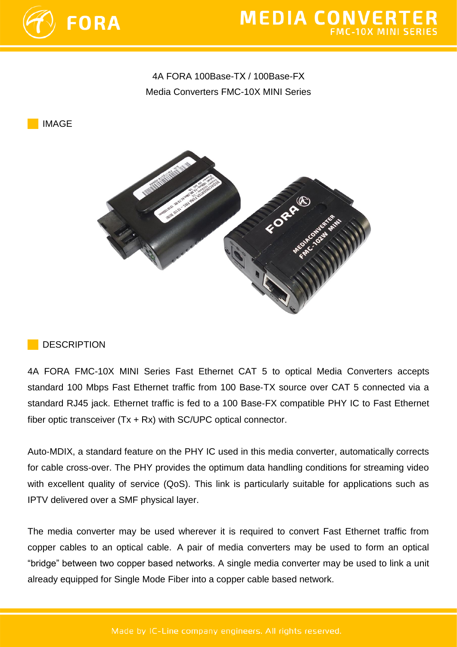

# **MEDIA CONVERTER**

# 4A FORA 100Base-TХ / 100Base-FХ Media Converters FMC-10X MINI Series

IMAGE



#### **DESCRIPTION**

4A FORA FMC-10X MINI Series Fast Ethernet CAT 5 to optical Media Converters accepts standard 100 Mbps Fast Ethernet traffic from 100 Base‐TX source over CAT 5 connected via a standard RJ45 jack. Ethernet traffic is fed to a 100 Base‐FX compatible PHY IC to Fast Ethernet fiber optic transceiver (Tx + Rx) with SC/UPC optical connector.

Auto‐MDIX, a standard feature on the PHY IC used in this media converter, automatically corrects for cable cross‐over. The PHY provides the optimum data handling conditions for streaming video with excellent quality of service (QoS). This link is particularly suitable for applications such as IPTV delivered over a SMF physical layer.

The media converter may be used wherever it is required to convert Fast Ethernet traffic from copper cables to an optical cable. A pair of media converters may be used to form an optical "bridge" between two copper based networks. A single media converter may be used to link a unit already equipped for Single Mode Fiber into a copper cable based network.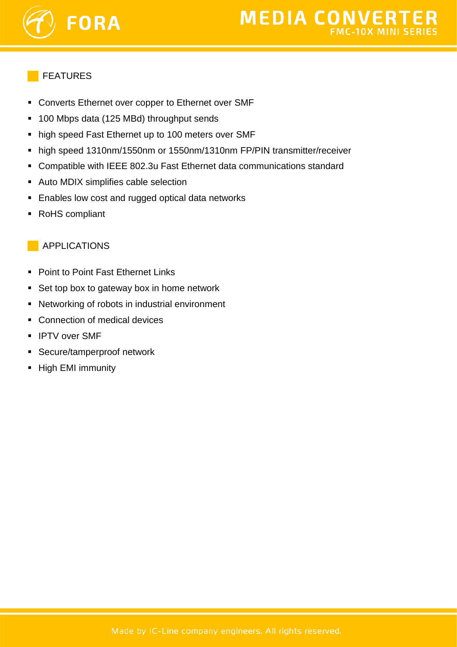

#### FEATURES

- Converts Ethernet over copper to Ethernet over SMF
- 100 Mbps data (125 MBd) throughput sends
- high speed Fast Ethernet up to 100 meters over SMF
- high speed 1310nm/1550nm or 1550nm/1310nm FP/PIN transmitter/receiver
- Compatible with IEEE 802.3u Fast Ethernet data communications standard
- Auto MDIX simplifies cable selection
- **Enables low cost and rugged optical data networks**
- RoHS compliant

### APPLICATIONS

- Point to Point Fast Ethernet Links
- Set top box to gateway box in home network
- Networking of robots in industrial environment
- Connection of medical devices
- **IPTV over SMF**
- Secure/tamperproof network
- **High EMI immunity**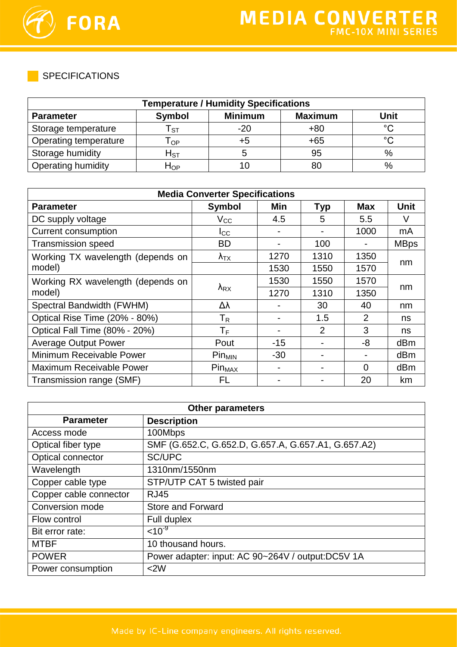

SPECIFICATIONS

| <b>Temperature / Humidity Specifications</b> |                      |                |                |         |
|----------------------------------------------|----------------------|----------------|----------------|---------|
| <b>Parameter</b>                             | <b>Symbol</b>        | <b>Minimum</b> | <b>Maximum</b> | Unit    |
| Storage temperature                          | ST.                  | $-20$          | $+80$          | $\circ$ |
| Operating temperature                        | $\Omega$             | +5             | $+65$          | $\circ$ |
| Storage humidity                             | ${\sf H}_{{\rm ST}}$ |                | 95             | $\%$    |
| <b>Operating humidity</b>                    | $H_{OP}$             | 10             | 80             | $\%$    |

| <b>Media Converter Specifications</b> |                           |       |            |            |             |
|---------------------------------------|---------------------------|-------|------------|------------|-------------|
| <b>Parameter</b>                      | <b>Symbol</b>             | Min   | <b>Typ</b> | <b>Max</b> | <b>Unit</b> |
| DC supply voltage                     | $V_{\rm CC}$              | 4.5   | 5          | 5.5        | V           |
| <b>Current consumption</b>            | $I_{\rm CC}$              |       |            | 1000       | mA          |
| <b>Transmission speed</b>             | <b>BD</b>                 |       | 100        |            | <b>MBps</b> |
| Working TX wavelength (depends on     | $\lambda_{\text{TX}}$     | 1270  | 1310       | 1350       |             |
| model)                                |                           | 1530  | 1550       | 1570       | nm          |
| Working RX wavelength (depends on     |                           | 1530  | 1550       | 1570       |             |
| model)                                | $\lambda_{\mathsf{RX}}$   | 1270  | 1310       | 1350       | nm          |
| Spectral Bandwidth (FWHM)             | Δλ                        |       | 30         | 40         | nm          |
| Optical Rise Time (20% - 80%)         | $\mathsf{T}_{\mathsf{R}}$ |       | 1.5        | 2          | ns          |
| Optical Fall Time (80% - 20%)         | $\mathsf T_{\mathsf F}$   |       | 2          | 3          | ns          |
| <b>Average Output Power</b>           | Pout                      | $-15$ |            | -8         | dBm         |
| Minimum Receivable Power              | $Pin_{MIN}$               | $-30$ |            |            | dBm         |
| <b>Maximum Receivable Power</b>       | Pin <sub>MAX</sub>        |       |            | $\Omega$   | dBm         |
| Transmission range (SMF)              | FL                        |       |            | 20         | km          |

| <b>Other parameters</b> |                                                     |  |
|-------------------------|-----------------------------------------------------|--|
| <b>Parameter</b>        | <b>Description</b>                                  |  |
| Access mode             | 100Mbps                                             |  |
| Optical fiber type      | SMF (G.652.C, G.652.D, G.657.A, G.657.A1, G.657.A2) |  |
| Optical connector       | SC/UPC                                              |  |
| Wavelength              | 1310nm/1550nm                                       |  |
| Copper cable type       | STP/UTP CAT 5 twisted pair                          |  |
| Copper cable connector  | <b>RJ45</b>                                         |  |
| Conversion mode         | <b>Store and Forward</b>                            |  |
| Flow control            | Full duplex                                         |  |
| Bit error rate:         | $< 10^{-9}$                                         |  |
| <b>MTBF</b>             | 10 thousand hours.                                  |  |
| <b>POWER</b>            | Power adapter: input: AC 90~264V / output:DC5V 1A   |  |
| Power consumption       | <2W                                                 |  |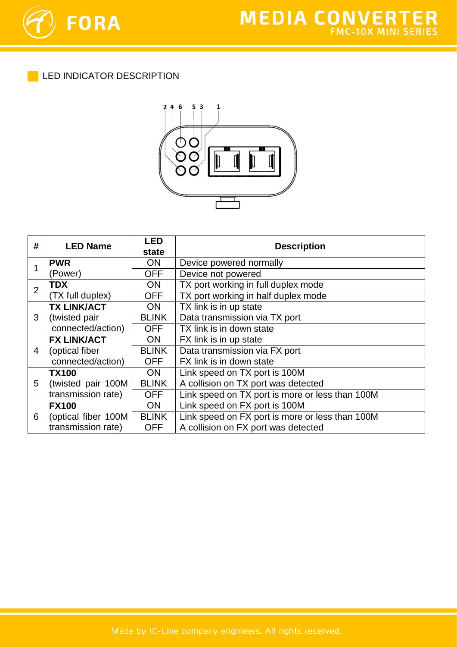

LED INDICATOR DESCRIPTION



| #              | <b>LED Name</b>     | <b>LED</b>   | <b>Description</b>                              |  |
|----------------|---------------------|--------------|-------------------------------------------------|--|
|                |                     | state        |                                                 |  |
| 1              | <b>PWR</b>          | <b>ON</b>    | Device powered normally                         |  |
|                | (Power)             | <b>OFF</b>   | Device not powered                              |  |
| $\overline{2}$ | <b>TDX</b>          | <b>ON</b>    | TX port working in full duplex mode             |  |
|                | (TX full duplex)    | <b>OFF</b>   | TX port working in half duplex mode             |  |
| 3              | <b>TX LINK/ACT</b>  | ON.          | TX link is in up state                          |  |
|                | (twisted pair       | <b>BLINK</b> | Data transmission via TX port                   |  |
|                | connected/action)   | <b>OFF</b>   | TX link is in down state                        |  |
|                | <b>FX LINK/ACT</b>  | <b>ON</b>    | FX link is in up state                          |  |
| 4              | (optical fiber      | <b>BLINK</b> | Data transmission via FX port                   |  |
|                | connected/action)   | <b>OFF</b>   | FX link is in down state                        |  |
|                | <b>TX100</b>        | <b>ON</b>    | Link speed on TX port is 100M                   |  |
| 5              | (twisted pair 100M  | <b>BLINK</b> | A collision on TX port was detected             |  |
|                | transmission rate)  | <b>OFF</b>   | Link speed on TX port is more or less than 100M |  |
| 6              | <b>FX100</b>        | <b>ON</b>    | Link speed on FX port is 100M                   |  |
|                | (optical fiber 100M | <b>BLINK</b> | Link speed on FX port is more or less than 100M |  |
|                | transmission rate)  | <b>OFF</b>   | A collision on FX port was detected             |  |